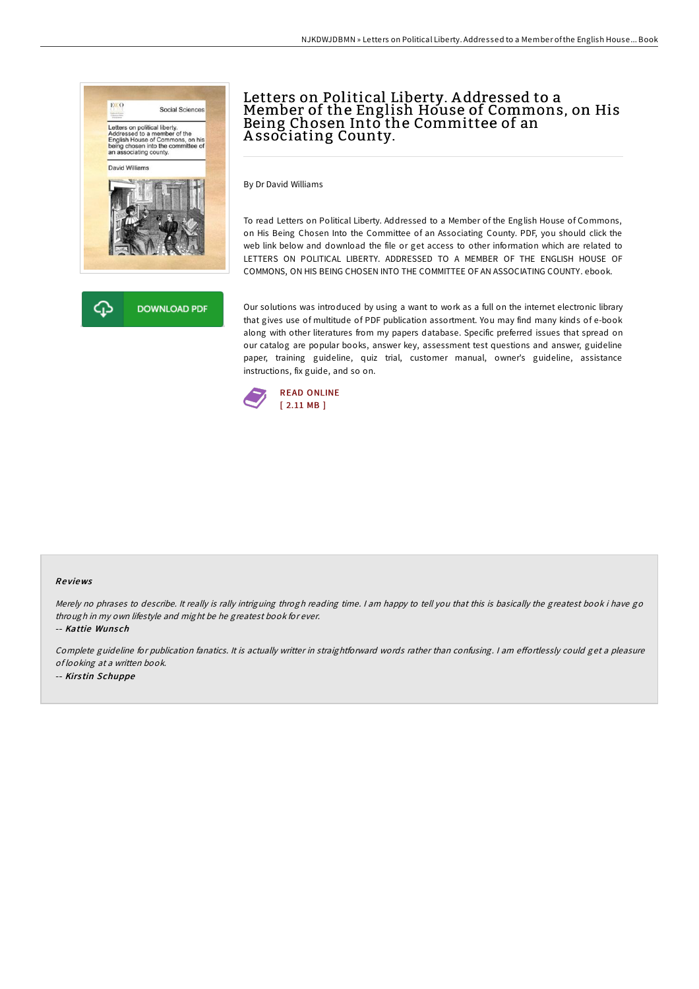



# Letters on Political Liberty. A ddressed to a Member of the English House of Commons, on His Being Chosen Into the Committee of an A ssociating County.

By Dr David Williams

To read Letters on Political Liberty. Addressed to a Member of the English House of Commons, on His Being Chosen Into the Committee of an Associating County. PDF, you should click the web link below and download the file or get access to other information which are related to LETTERS ON POLITICAL LIBERTY. ADDRESSED TO A MEMBER OF THE ENGLISH HOUSE OF COMMONS, ON HIS BEING CHOSEN INTO THE COMMITTEE OF AN ASSOCIATING COUNTY. ebook.

Our solutions was introduced by using a want to work as a full on the internet electronic library that gives use of multitude of PDF publication assortment. You may find many kinds of e-book along with other literatures from my papers database. Specific preferred issues that spread on our catalog are popular books, answer key, assessment test questions and answer, guideline paper, training guideline, quiz trial, customer manual, owner's guideline, assistance instructions, fix guide, and so on.



#### Re views

Merely no phrases to describe. It really is rally intriguing throgh reading time. I am happy to tell you that this is basically the greatest book i have go through in my own lifestyle and might be he greatest book for ever.

-- Kattie Wunsch

Complete guideline for publication fanatics. It is actually writter in straightforward words rather than confusing. I am effortlessly could get a pleasure of looking at <sup>a</sup> written book. -- Kirs tin Schuppe